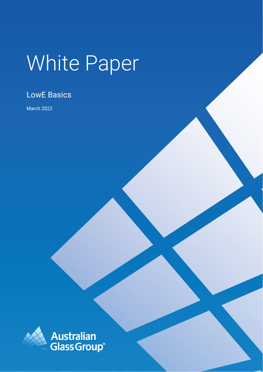# White Paper

## LowE Basics

March 2022

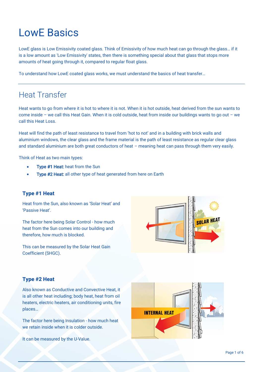# LowE Basics

LowE glass is Low Emissivity coated glass. Think of Emissivity of how much heat can go through the glass… if it is a low amount as 'Low Emissivity' states, then there is something special about that glass that stops more amounts of heat going through it, compared to regular float glass.

To understand how LowE coated glass works, we must understand the basics of heat transfer…

## Heat Transfer

Heat wants to go from where it is hot to where it is not. When it is hot outside, heat derived from the sun wants to come inside – we call this Heat Gain. When it is cold outside, heat from inside our buildings wants to go out – we call this Heat Loss.

Heat will find the path of least resistance to travel from 'hot to not' and in a building with brick walls and aluminium windows, the clear glass and the frame material is the path of least resistance as regular clear glass and standard aluminium are both great conductors of heat – meaning heat can pass through them very easily.

Think of Heat as two main types:

- Type #1 Heat: heat from the Sun
- Type #2 Heat: all other type of heat generated from here on Earth

#### **Type #1 Heat**

Heat from the Sun, also known as 'Solar Heat' and 'Passive Heat'.

The factor here being Solar Control - how much heat from the Sun comes into our building and therefore, how much is blocked.

This can be measured by the Solar Heat Gain Coefficient (SHGC).



### **Type #2 Heat**

Also known as Conductive and Convective Heat, it is all other heat including; body heat, heat from oil heaters, electric heaters, air conditioning units, fire places…

The factor here being Insulation - how much heat we retain inside when it is colder outside.

It can be measured by the U-Value.

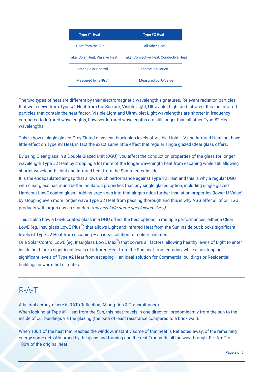| Type #1 Heat                  | Type #2 Heat                          |
|-------------------------------|---------------------------------------|
| Heat from the Sun             | All other Heat                        |
| aka. Solar Heat, Passive Heat | aka. Convective Heat, Conductive Heat |
| <b>Factor: Solar Control</b>  | <b>Factor: Insulation</b>             |
| Measured by: SHGC             | Measured by: U-Value                  |

The two types of heat are different by their electromagnetic wavelength signatures. Relevant radiation particles that we receive from Type #1 Heat from the Sun are; Visible Light, Ultraviolet Light and Infrared. It is the Infrared particles that contain the heat factor. Visible Light and Ultraviolet Light wavelengths are shorter in frequency compared to Infrared wavelengths; however Infrared wavelengths are still longer than all other Type #2 Heat wavelengths.

This is how a single glazed Grey Tinted glass can block high levels of Visible Light, UV and Infrared Heat, but have little effect on Type #2 Heat, in fact the exact same little effect that regular single glazed Clear glass offers.

By using Clear glass in a Double Glazed Unit (DGU), you affect the conduction properties of the glass for longer wavelength Type #2 Heat by stopping a lot more of the longer wavelength heat from escaping while still allowing shorter wavelength Light and Infrared heat from the Sun to enter inside.

It is the encapsulated air gap that allows such performance against Type #2 Heat and this is why a regular DGU with clear glass has much better Insulation properties than any single glazed option, including single glazed Hardcoat LowE coated glass. Adding argon gas into that air gap adds further Insulation properties (lower U-Value) by stopping even more longer wave Type #2 Heat from passing thorough and this is why AGG offer all of our IGU products with argon gas as standard (may exclude some specialised sizes).

This is also how a LowE coated glass in a DGU offers the best options in multiple performances; either a Clear LowE (eg. Insulglass LowE Plus®) that allows Light and Infrared Heat from the Sun inside but blocks significant levels of Type #2 Heat from escaping – an ideal solution for colder climates.

Or a Solar Control LowE (eg. Insulglass LowE Max<sup>®</sup>) that covers all factors, allowing healthy levels of Light to enter inside but blocks significant levels of infrared Heat from the Sun heat from entering, while also stopping significant levels of Type #2 Heat from escaping – an ideal solution for Commercial buildings or Residential buildings in warm-hot climates.

## R-A-T

A helpful acronym here is RAT (Reflection, Absorption & Transmittance).

When looking at Type #1 Heat from the Sun, this heat travels in one direction, predominantly from the sun to the inside of our buildings via the glazing (the path of least resistance compared to a brick wall).

When 100% of the heat that reaches the window, instantly some of that heat is Reflected away, of the remaining energy some gets Absorbed by the glass and framing and the rest Transmits all the way through.  $R + A + T =$ 100% of the original heat.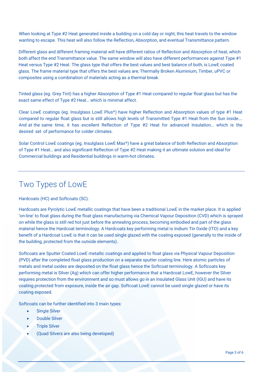When looking at Type #2 Heat generated inside a building on a cold day or night, this heat travels to the window wanting to escape. This heat will also follow the Reflection, Absorption, and eventual Transmittance pattern.

Different glass and different framing material will have different ratios of Reflection and Absorption of heat, which both affect the end Transmittance value. The same window will also have different performances against Type #1 Heat versus Type #2 Heat. The glass type that offers the best values and best balance of both, is LowE coated glass. The frame material type that offers the best values are; Thermally Broken Aluminium, Timber, uPVC or composites using a combination of materials acting as a thermal break.

Tinted glass (eg. Grey Tint) has a higher Absorption of Type #1 Heat compared to regular float glass but has the exact same effect of Type #2 Heat… which is minimal affect.

Clear LowE coatings (eg. [Insulglass LowE Plus](https://agg.com.au/product/insulglass-lowe-plus/)®) have higher Reflection and Absorption values of type #1 Heat compared to regular float glass but is still allows high levels of Transmitted Type #1 Heat from the Sun inside…. And at the same time, it has excellent Reflection of Type #2 Heat for advanced Insulation… which is the desired set of performance for colder climates.

Solar Control LowE coatings (eg. [Insulglass LowE Max](https://agg.com.au/product/insulglass-lowe-max/)®) have a great balance of both Reflection and Absorption of Type #1 Heat… and also significant Reflection of Type #2 Heat making it an ultimate solution and ideal for Commercial buildings and Residential buildings in warm-hot climates.

## Two Types of LowE

Hardcoats (HC) and Softcoats (SC).

Hardcoats are Pyrolytic LowE metallic coatings that have been a traditional LowE in the market place. It is applied 'on-line' to float glass during the float glass manufacturing via Chemical Vapour Deposition (CVD) which is sprayed on while the glass is still red hot just before the annealing process, becoming embodied and part of the glass material hence the Hardcoat terminology. A Hardcoats key performing metal is Indium Tin Oxide (ITO) and a key benefit of a Hardcoat LowE is that it can be used single glazed with the coating exposed (generally to the inside of the building, protected from the outside elements).

Softcoats are Sputter Coated LowE metallic coatings and applied to float glass via Physical Vapour Deposition (PVD) after the completed float glass production on a separate sputter coating line. Here atomic particles of metals and metal oxides are deposited on the float glass hence the Softcoat terminology. A Softcoats key performing metal is Silver (Ag) which can offer higher performance that a Hardcoat LowE, however the Silver requires protection from the environment and so must allows go in an Insulated Glass Unit (IGU) and have its coating protected from exposure, inside the air gap. Softcoat LowE cannot be used single glazed or have its coating exposed.

Softcoats can be further identified into 3 main types:

- Single Silver
- Double Silver
- **Triple Silver**
- (Quad Silvers are also being developed)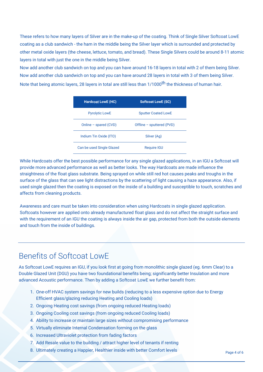These refers to how many layers of Silver are in the make-up of the coating. Think of Single Silver Softcoat LowE coating as a club sandwich - the ham in the middle being the Silver layer which is surrounded and protected by other metal oxide layers (the cheese, lettuce, tomato, and bread). These Single Silvers could be around 8-11 atomic layers in total with just the one in the middle being Silver.

Now add another club sandwich on top and you can have around 16-18 layers in total with 2 of them being Silver. Now add another club sandwich on top and you can have around 28 layers in total with 3 of them being Silver. Note that being atomic layers, 28 layers in total are still less than 1/1000<sup>th</sup> the thickness of human hair.

| <b>Hardcoat LowE (HC)</b> | <b>Softcoat LowE (SC)</b>  |
|---------------------------|----------------------------|
| <b>Pyrolytic LowE</b>     | <b>Sputter Coated LowE</b> |
| Online – spared $(CVD)$   | Offline – sputtered (PVD)  |
| Indium Tin Oxide (ITO)    | Silver (Ag)                |
| Can be used Single Glazed | <b>Require IGU</b>         |

While Hardcoats offer the best possible performance for any single glazed applications, in an IGU a Softcoat will provide more advanced performance as well as better looks. The way Hardcoats are made influence the straightness of the float glass substrate. Being sprayed on while still red hot causes peaks and troughs in the surface of the glass that can see light distractions by the scattering of light causing a haze appearance. Also, if used single glazed then the coating is exposed on the inside of a building and susceptible to touch, scratches and affects from cleaning products.

Awareness and care must be taken into consideration when using Hardcoats in single glazed application. Softcoats however are applied onto already manufactured float glass and do not affect the straight surface and with the requirement of an IGU the coating is always inside the air gap, protected from both the outside elements and touch from the inside of buildings.

## Benefits of Softcoat LowE

As Softcoat LowE requires an IGU, if you look first at going from monolithic single glazed (eg. 6mm Clear) to a Double Glazed Unit (DGU) you have two foundational benefits being; significantly better Insulation and more advanced Acoustic performance. Then by adding a Softcoat LowE we further benefit from:

- 1. One-off HVAC system savings for new builds (reducing to a less expensive option due to Energy Efficient glass/glazing reducing Heating and Cooling loads)
- 2. Ongoing Heating cost savings (from ongoing reduced Heating loads)
- 3. Ongoing Cooling cost savings (from ongoing reduced Cooling loads)
- 4. Ability to increase or maintain large sizes without compromising performance
- 5. Virtually eliminate Internal Condensation forming on the glass
- 6. Increased Ultraviolet protection from fading factors
- 7. Add Resale value to the building / attract higher level of tenants if renting
- 8. Ultimately creating a Happier, Healthier inside with better Comfort levels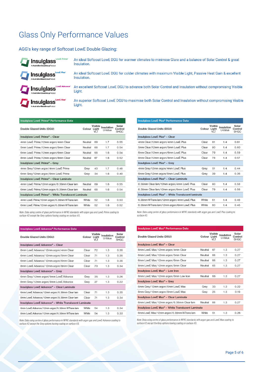## Glass Only Performance Values

#### AGG's key range of Softcoat LowE Double Glazing:

| <b>Tinsulglass</b> Low E Prime <sup>*</sup> | An ideal Softcoat LowE DGU for warmer climates to minimise Glare and a balance of Solar Control & great  |
|---------------------------------------------|----------------------------------------------------------------------------------------------------------|
| AnAustralianGlassGroupProduc                | Insulation.                                                                                              |
| <b>Ansulglass</b> Low E Plus'               | An ideal Softcoat LowE DGU for colder climates with maximum Visible Light, Passive Heat Gain & excellent |
| AnAustralianGlassGroupProduc                | Insulation.                                                                                              |
| Insulglass Low E Advance                    | An excellent Softcoat LowE DGU to advance both Solar Control and Insulation without compromising Visible |
| AnAustralianGlassGroupProduc                | Light.                                                                                                   |
| <b>Ty Insulglass</b> LowE Max <sup>+</sup>  | An superior Softcoat LowE DGU to maximise both Solar Control and Insulation without compromising Visible |
| AnAustralianGlassGroupProc                  | Liaht.                                                                                                   |

| <b>Insulglass LowE Prime® Performance Data</b>      |         |                         |                       |                                 |
|-----------------------------------------------------|---------|-------------------------|-----------------------|---------------------------------|
| Double Glazed Units (DGU)                           | Colour  | Visible<br>Light<br>VLT | Insulation<br>U-Value | Solar<br>Control<br><b>SHGC</b> |
| Insulglass LowE Prime® - Clear                      |         |                         |                       |                                 |
| 4mm LowE Prime/12mm argon/4mm Clear                 | Neutral | 69                      | 1.7                   | 0.55                            |
| 5mm LowE Prime/12mm argon/5mm Clear                 | Neutral | 68                      | 1.7                   | 0.54                            |
| 6mm LowE Prime/12mm argon/6mm Clear                 | Neutral | 68                      | 1.6                   | 0.54                            |
| 8mm LowE Prime/12mm argon/8mm Clear                 | Neutral | 67                      | 1.6                   | 0.52                            |
| Insulglass LowE Prime® - Grey                       |         |                         |                       |                                 |
| 4mm Grey/12mm argon/4mm LowE Prime                  | Grey    | 43                      | 1.7                   | 0.48                            |
| 6mm Grey/12mm argon/6mm LowE Prime                  | Grey    | 34                      | 1.6                   | 0.40                            |
| Insulglass LowE Prime® - Clear Laminate             |         |                         |                       |                                 |
| 4mm LowE Prime/12mm argon/6.38mm Clear lam          | Neutral | 69                      | 1.6                   | 0.55                            |
| 6mm LowE Prime/12mm argon/6.38mm Clear lam          | Neutral | 68                      | 1.6                   | 0.54                            |
| Insulglass LowE Prime® - White Translucent Laminate |         |                         |                       |                                 |
| 4mm LowE Prime/12mm argon/6.38mm WTrans lam         | White   | 52                      | 1.6                   | 0.53                            |
| 6mm LowE Prime/12mm argon/6.38mm WTrans lam         | White   | 52                      | 1.6                   | 0.52                            |
|                                                     |         |                         |                       |                                 |

Note: Data using centre of glass performance in NFRC standards with argon gas and LowE Prime coating to surface #2 except the Grey options having coating on surface #3.

#### Insulglass LowE Advance® Performance Data

| Double Glazed Units (DGU)                             | Colour Light | Visible<br>VLT | Insulation<br>U-Value | Solar<br>Control<br><b>SHGC</b> |
|-------------------------------------------------------|--------------|----------------|-----------------------|---------------------------------|
| Insulglass LowE Advance® - Clear                      |              |                |                       |                                 |
| 6mm LowE Advance/12mm argon/4mm Clear                 | Clear        | 72             | 1.3                   | 0.35                            |
| 6mm LowE Advance/12mm argon/5mm Clear                 | Clear        | 71             | 1.3                   | 0.35                            |
| 6mm LowE Advance/12mm argon/6mm Clear                 | Clear        | 71             | 1.3                   | 0.35                            |
| 8mm LowE Advance/12mm argon/8mm Clear                 | Clear        | 70             | 1.3                   | 0.34                            |
| Insulglass LowE Advance® - Grey                       |              |                |                       |                                 |
| 6mm Grey/12mm argon/6mm LowE Advance                  | Grey         | 35             | 1.3                   | 0.26                            |
| 8mm Grey/12mm argon/8mm LowE Advance                  | Grev         | 27             | 1.3                   | 0.22                            |
| Insulglass LowE Advance® - Clear Laminate             |              |                |                       |                                 |
| 6mm LowE Advance/12mm argon/6.38mm Clear lam          | Clear        | 71             | 1.3                   | 0.35                            |
| 8mm LowE Advance/12mm argon/8.38mm Clear lam          | Clear        | 71             | 1.3                   | 0.34                            |
| Insulglass LowE Advance® - White Translucent Laminate |              |                |                       |                                 |
| 6mm LowE Advance/12mm argon/6.38mm WTrans lam         | White        | 54             | 1.3                   | 0.34                            |
| 8mm LowE Advance/12mm argon/6.38mm WTrans lam         | White        | 54             | 1.3                   | 0.33                            |

Note: Data using centre of glass performance in NFRC standards with argon gas and LowE Advance coating to surface #2 except the Grey options having coating on surface #3.

#### Insulglass LowE Plus® Performance Data

| Double Glazed Units (DGU)                                      | Colour Light | Visible<br>VLT | Insulation<br>I I-Value | Solar<br>Control<br><b>SHGC</b> |
|----------------------------------------------------------------|--------------|----------------|-------------------------|---------------------------------|
| Insulglass LowE Plus <sup>®</sup> - Clear                      |              |                |                         |                                 |
| 4mm Clear/12mm argon/4mm LowE Plus                             | Clear        | 81             | 1.4                     | 0.61                            |
| 5mm Clear/12mm argon/5mm LowE Plus                             | Clear        | 80             | 1.4                     | 0.60                            |
| 6mm Clear/12mm argon/6mm LowE Plus                             | Clear        | 79             | 1.4                     | 0.59                            |
| 8mm Clear/12mm argon/8mm LowE Plus                             | Clear        | 78             | 1.4                     | 0.57                            |
| Insulglass LowE Plus <sup>®</sup> - Grey                       |              |                |                         |                                 |
| 4mm Grey/12mm argon/4mm LowE Plus                              | Grey         | 51             | 1.4                     | 0.44                            |
| 6mm Grey/12mm argon/6mm LowE Plus                              | Grev         | 39             | 1.4                     | 0.36                            |
| Insulglass LowE Plus <sup>®</sup> - Clear Laminate             |              |                |                         |                                 |
| 6.38mm Clear lam/12mm argon/4mm LowE Plus                      | Clear        | 80             | 1.4                     | 0.56                            |
| 6.38mm Clear lam/12mm argon/6mm LowE Plus                      | Clear        | 79             | 1.4                     | 0.56                            |
| Insulglass LowE Plus <sup>®</sup> - White Translucent laminate |              |                |                         |                                 |
| 6.38mm WTrans lam/12mm argon/4mm LowE Plus                     | White        | 61             | 1.4                     | 0.46                            |
| 6.38mm WTrans lam/12mm argon/6mm LowE Plus                     | White        | 60             | 1.4                     | 0.45                            |
|                                                                |              |                |                         |                                 |

Note: Data using centre of glass performance in NFRC standards with argon gas and LowE Plus coating to surface #3.

#### Insulglass LowE Max<sup>®</sup> Performance Data

| Double Glazed Units (DGU)                                     | Colour Light | Visible<br>VLT | Insulation<br>U-Value | Solar<br>Control<br><b>SHGC</b> |
|---------------------------------------------------------------|--------------|----------------|-----------------------|---------------------------------|
| Insulglass LowE Max <sup>®</sup> - Clear                      |              |                |                       |                                 |
| 6mm LowE Max/12mm argon/4mm Clear                             | Neutral      | 67             | 1.3                   | 0.27                            |
| 6mm LowE Max/12mm argon/5mm Clear                             | Neutral      | 66             | 1.3                   | 0.27                            |
| 6mm LowE Max/12mm argon/6mm Clear                             | Neutral      | 66             | 1.3                   | 0.27                            |
| 8mm LowE Max/12mm argon/8mm Clear                             | Neutral      | 65             | 1.3                   | 0.27                            |
| Insulglass LowE Max <sup>®</sup> - Low Iron                   |              |                |                       |                                 |
| 6mm LowE Max/12mm argon/6mm Low Iron                          | Neutral      | 68             | 1.3                   | 0.27                            |
| Insulglass LowE Max <sup>®</sup> - Grey                       |              |                |                       |                                 |
| 6mm Grey/12mm argon/6mm LowE Max                              | Grey         | 33             | 1.3                   | 0.22                            |
| 8mm Grey/12mm argon/8mm LowE Max                              | Grey         | 25             | 1.3                   | 0.19                            |
| Insulglass LowE Max <sup>®</sup> - Clear Laminate             |              |                |                       |                                 |
| 6mm LowE Max/12mm argon/6.38mm Clear lam                      | Neutral      | 66             | 1.3                   | 0.27                            |
| Insulglass LowE Max <sup>®</sup> - White Translucent Laminate |              |                |                       |                                 |
| 6mm LowE Max/12mm argon/6.38mm WTrans lam                     | White        | 51             | 1.3                   | 0.26                            |

Note: Data using centre of glass performance in NFRC standards with argon gas and LowE Max coating to surface #2 except the Grey options having coating on surface #3.